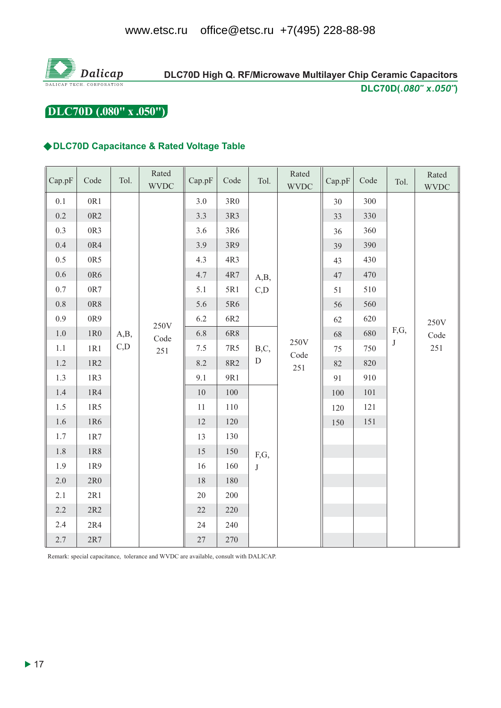

# DLC70D High Q. RF/Microwave Multilayer Chip Ceramic Capacitors DLC70D(.080" x.050")

# DLC70D (.080" x .050")

#### ◆DLC70D Capacitance & Rated Voltage Table

| Cap.pF  | Code        | Tol.         | Rated<br><b>WVDC</b> | Cap.pF | Code       | Tol.              | Rated<br><b>WVDC</b> | Cap.pF | Code | Tol.            | Rated<br><b>WVDC</b> |
|---------|-------------|--------------|----------------------|--------|------------|-------------------|----------------------|--------|------|-----------------|----------------------|
| $0.1\,$ | 0R1         |              |                      | 3.0    | $3R0$      |                   | 250V<br>Code         | 30     | 300  | F,G,<br>$\bf J$ |                      |
| $0.2\,$ | $0{\rm R}2$ |              |                      | 3.3    | 3R3        |                   |                      | 33     | 330  |                 | 250V<br>Code<br>251  |
| 0.3     | 0R3         |              |                      | 3.6    | 3R6        |                   |                      | 36     | 360  |                 |                      |
| 0.4     | 0R4         |              |                      | 3.9    | 3R9        |                   |                      | 39     | 390  |                 |                      |
| 0.5     | 0R5         |              |                      | 4.3    | 4R3        | A,B,<br>C,D       |                      | 43     | 430  |                 |                      |
| 0.6     | 0R6         |              |                      | 4.7    | $4R7$      |                   |                      | 47     | 470  |                 |                      |
| $0.7\,$ | $0{\rm R}7$ |              |                      | 5.1    | 5R1        |                   |                      | 51     | 510  |                 |                      |
| $0.8\,$ | $0{\rm R}8$ | 250V<br>A,B, |                      | 5.6    | 5R6        |                   |                      | 56     | 560  |                 |                      |
| 0.9     | 0R9         |              |                      | 6.2    | 6R2        |                   |                      | 62     | 620  |                 |                      |
| $1.0\,$ | $1{\rm R0}$ |              | Code                 | 6.8    | 6R8        | B,C,<br>${\rm D}$ |                      | 68     | 680  |                 |                      |
| $1.1\,$ | 1R1         | C, D         | 251                  | 7.5    | 7R5        |                   |                      | 75     | 750  |                 |                      |
| $1.2\,$ | 1R2         |              |                      | 8.2    | <b>8R2</b> |                   | 251                  | 82     | 820  |                 |                      |
| 1.3     | 1R3         |              |                      | 9.1    | 9R1        |                   |                      | 91     | 910  |                 |                      |
| $1.4\,$ | 1R4         |              |                      | 10     | 100        |                   |                      | 100    | 101  |                 |                      |
| 1.5     | 1R5         |              |                      | 11     | $110\,$    |                   |                      | 120    | 121  |                 |                      |
| 1.6     | 1R6         |              |                      | 12     | 120        | F,G,<br>$\bf J$   |                      | 150    | 151  |                 |                      |
| 1.7     | 1R7         |              |                      | 13     | 130        |                   |                      |        |      |                 |                      |
| 1.8     | 1R8         |              |                      | 15     | 150        |                   |                      |        |      |                 |                      |
| 1.9     | 1R9         |              |                      | 16     | 160        |                   |                      |        |      |                 |                      |
| 2.0     | 2R0         |              |                      | 18     | 180        |                   |                      |        |      |                 |                      |
| 2.1     | 2R1         |              |                      | $20\,$ | 200        |                   |                      |        |      |                 |                      |
| 2.2     | $2R2$       |              |                      | $22\,$ | 220        |                   |                      |        |      |                 |                      |
| 2.4     | $2R4$       |              |                      | 24     | 240        |                   |                      |        |      |                 |                      |
| 2.7     | $2R7$       |              |                      | $27\,$ | 270        |                   |                      |        |      |                 |                      |

Remark: special capacitance, tolerance and WVDC are available, consult with DALICAP.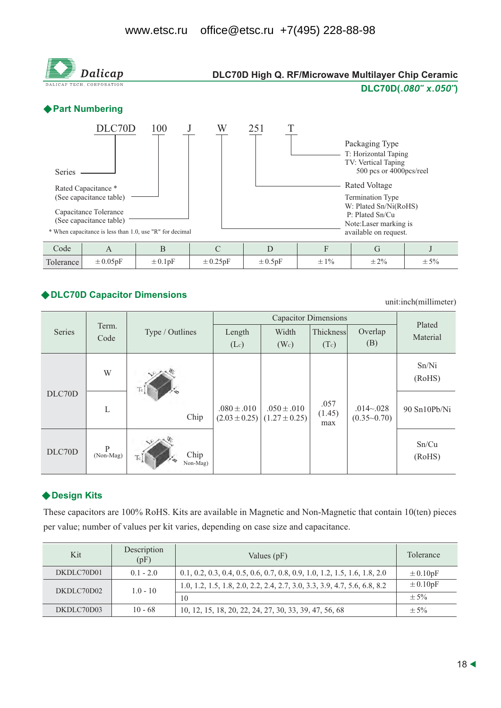

### ◆ DLC70D Capacitor Dimensions

unit:inch(millimeter)

|        | Term.<br>Code  |                         |                 | Plated                                                 |                       |                                  |                 |
|--------|----------------|-------------------------|-----------------|--------------------------------------------------------|-----------------------|----------------------------------|-----------------|
| Series |                | Type / Outlines         | Length          | Width                                                  | Thickness             | Overlap                          | Material        |
|        |                |                         | (Lc)            | (W <sub>c</sub> )                                      | (Tc)                  | (B)                              |                 |
| DLC70D | W              |                         | $.080 \pm .010$ | $.050 \pm .010$<br>$(2.03 \pm 0.25)$ (1.27 $\pm$ 0.25) | .057<br>(1.45)<br>max | $.014 - .028$<br>$(0.35 - 0.70)$ | Sn/Ni<br>(RoHS) |
|        | L              | Chip                    |                 |                                                        |                       |                                  | 90 Sn10Pb/Ni    |
| DLC70D | P<br>(Non-Mag) | Chip<br>Non-Mag)<br>Tc. |                 |                                                        |                       |                                  | Sn/Cu<br>(RoHS) |

### ◆ Design Kits

These capacitors are 100% RoHS. Kits are available in Magnetic and Non-Magnetic that contain 10(ten) pieces per value; number of values per kit varies, depending on case size and capacitance.

| Kit        | Description<br>(pF) | Values $(pF)$                                                               | Tolerance    |
|------------|---------------------|-----------------------------------------------------------------------------|--------------|
| DKDLC70D01 | $0.1 - 2.0$         | $0.1, 0.2, 0.3, 0.4, 0.5, 0.6, 0.7, 0.8, 0.9, 1.0, 1.2, 1.5, 1.6, 1.8, 2.0$ | $\pm 0.10pF$ |
| DKDLC70D02 | $1.0 - 10$          | 1.0, 1.2, 1.5, 1.8, 2.0, 2.2, 2.4, 2.7, 3.0, 3.3, 3.9, 4.7, 5.6, 6.8, 8.2   | $\pm 0.10pF$ |
|            |                     | 10                                                                          | $\pm$ 5%     |
| DKDLC70D03 | $10 - 68$           | 10, 12, 15, 18, 20, 22, 24, 27, 30, 33, 39, 47, 56, 68                      | $\pm$ 5%     |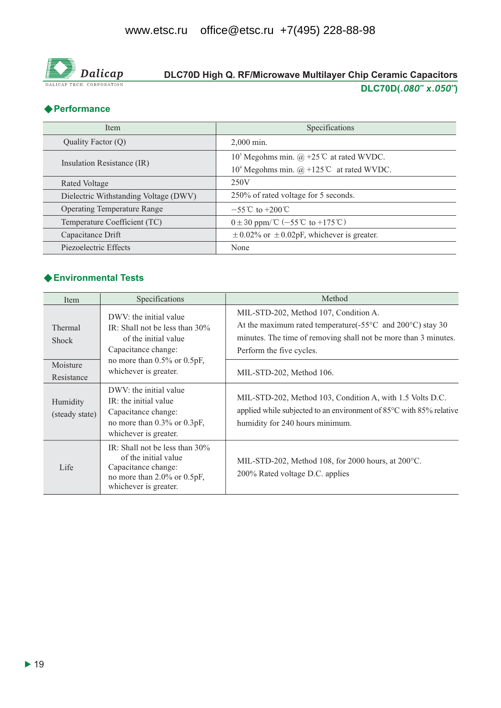

# DLC70D High Q. RF/Microwave Multilayer Chip Ceramic Capacitors DLC70D(.080" x.050")

## ◆ Performance

| <b>Item</b>                           | Specifications                                                   |  |  |
|---------------------------------------|------------------------------------------------------------------|--|--|
| Quality Factor (Q)                    | $2.000$ min.                                                     |  |  |
| Insulation Resistance (IR)            | 10 <sup>5</sup> Megohms min. @ +25 <sup>°</sup> C at rated WVDC. |  |  |
|                                       | $104$ Megohms min. @ +125°C at rated WVDC.                       |  |  |
| Rated Voltage                         | 250V                                                             |  |  |
| Dielectric Withstanding Voltage (DWV) | 250% of rated voltage for 5 seconds.                             |  |  |
| <b>Operating Temperature Range</b>    | $-55^{\circ}$ C to $+200^{\circ}$ C                              |  |  |
| Temperature Coefficient (TC)          | $0 \pm 30$ ppm/°C (-55°C to +175°C)                              |  |  |
| Capacitance Drift                     | $\pm$ 0.02% or $\pm$ 0.02pF, whichever is greater.               |  |  |
| Piezoelectric Effects                 | None                                                             |  |  |

### ♦ Environmental Tests

| Item                       | Specifications                                                                                                                           | Method                                                                                                                                                                                                                 |  |  |  |  |
|----------------------------|------------------------------------------------------------------------------------------------------------------------------------------|------------------------------------------------------------------------------------------------------------------------------------------------------------------------------------------------------------------------|--|--|--|--|
| Thermal<br><b>Shock</b>    | DWV: the initial value<br>IR: Shall not be less than $30\%$<br>of the initial value<br>Capacitance change:                               | MIL-STD-202, Method 107, Condition A.<br>At the maximum rated temperature( $-55^{\circ}$ C and $200^{\circ}$ C) stay 30<br>minutes. The time of removing shall not be more than 3 minutes.<br>Perform the five cycles. |  |  |  |  |
| Moisture<br>Resistance     | no more than $0.5\%$ or $0.5pF$ ,<br>whichever is greater.                                                                               | MIL-STD-202, Method 106.                                                                                                                                                                                               |  |  |  |  |
| Humidity<br>(steady state) | DWV: the initial value<br>IR: the initial value<br>Capacitance change:<br>no more than 0.3% or 0.3pF,<br>whichever is greater.           | MIL-STD-202, Method 103, Condition A, with 1.5 Volts D.C.<br>applied while subjected to an environment of 85°C with 85% relative<br>humidity for 240 hours minimum.                                                    |  |  |  |  |
| Life                       | IR: Shall not be less than $30\%$<br>of the initial value<br>Capacitance change:<br>no more than 2.0% or 0.5pF,<br>whichever is greater. | MIL-STD-202, Method 108, for 2000 hours, at $200^{\circ}$ C.<br>200% Rated voltage D.C. applies                                                                                                                        |  |  |  |  |